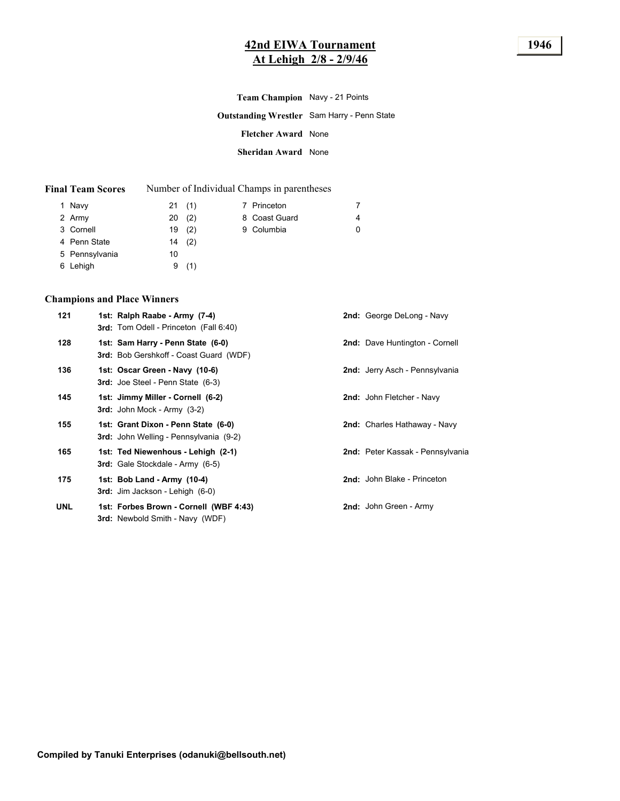### **42nd EIWA Tournament 1946 At Lehigh 2/8 - 2/9/46**

| Team Champion Navy - 21 Points |                                                    |
|--------------------------------|----------------------------------------------------|
|                                | <b>Outstanding Wrestler</b> Sam Harry - Penn State |
| <b>Fletcher Award None</b>     |                                                    |
| Sheridan Award None            |                                                    |

| <b>Final Team Scores</b> | Number of Individual Champs in parentheses |  |  |
|--------------------------|--------------------------------------------|--|--|
|--------------------------|--------------------------------------------|--|--|

| 1 Navy         |    | 21(1) | 7 Princeton   | 7 |
|----------------|----|-------|---------------|---|
| 2 Army         | 20 | (2)   | 8 Coast Guard | 4 |
| 3 Cornell      |    | 19(2) | 9 Columbia    | 0 |
| 4 Penn State   |    | 14(2) |               |   |
| 5 Pennsylvania | 10 |       |               |   |
| 6 Lehigh       | 9  | (1)   |               |   |

#### **Champions and Place Winners**

| 121        | 1st: Ralph Raabe - Army (7-4)<br><b>3rd:</b> Tom Odell - Princeton (Fall 6:40)       | <b>2nd:</b> George DeLong - Navy      |
|------------|--------------------------------------------------------------------------------------|---------------------------------------|
| 128        | 1st: Sam Harry - Penn State (6-0)<br><b>3rd:</b> Bob Gershkoff - Coast Guard (WDF)   | <b>2nd:</b> Dave Huntington - Cornell |
| 136        | 1st: Oscar Green - Navy (10-6)<br><b>3rd:</b> Joe Steel - Penn State (6-3)           | 2nd: Jerry Asch - Pennsylvania        |
| 145        | 1st: Jimmy Miller - Cornell (6-2)<br>$3rd:$ John Mock - Army $(3-2)$                 | 2nd: John Fletcher - Navy             |
| 155        | 1st: Grant Dixon - Penn State (6-0)<br><b>3rd:</b> John Welling - Pennsylvania (9-2) | 2nd: Charles Hathaway - Navy          |
| 165        | 1st: Ted Niewenhous - Lehigh (2-1)<br><b>3rd:</b> Gale Stockdale - Army (6-5)        | 2nd: Peter Kassak - Pennsylvania      |
| 175        | 1st: Bob Land - Army (10-4)<br><b>3rd:</b> Jim Jackson - Lehigh (6-0)                | 2nd: John Blake - Princeton           |
| <b>UNL</b> | 1st: Forbes Brown - Cornell (WBF 4:43)<br><b>3rd:</b> Newbold Smith - Navy (WDF)     | 2nd: John Green - Army                |
|            |                                                                                      |                                       |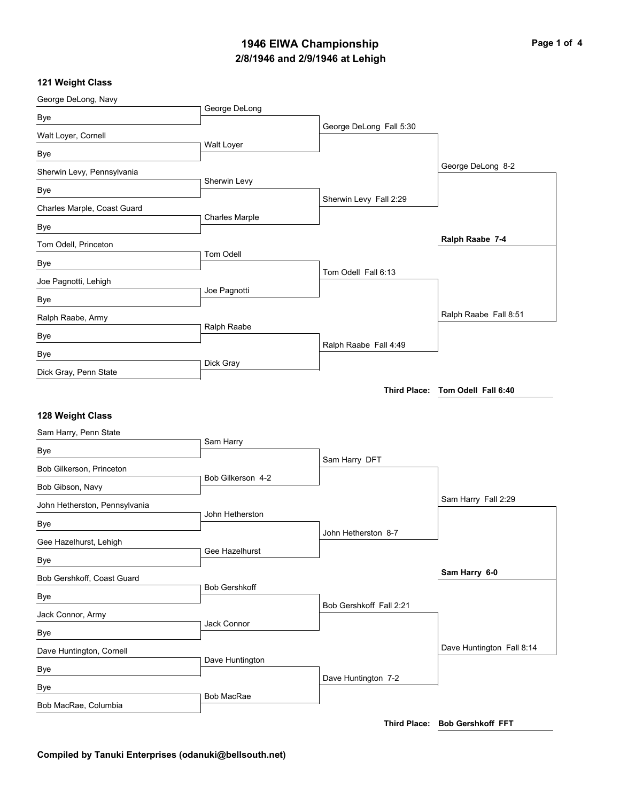## **2/8/1946 and 2/9/1946 at Lehigh 1946 EIWA Championship Page 1 of 4**

#### **121 Weight Class**

| George DeLong, Navy           |                      |                         |                                  |
|-------------------------------|----------------------|-------------------------|----------------------------------|
| Bye                           | George DeLong        |                         |                                  |
| Walt Loyer, Cornell           |                      | George DeLong Fall 5:30 |                                  |
| Bye                           | Walt Loyer           |                         |                                  |
| Sherwin Levy, Pennsylvania    |                      |                         | George DeLong 8-2                |
| Bye                           | Sherwin Levy         |                         |                                  |
| Charles Marple, Coast Guard   |                      | Sherwin Levy Fall 2:29  |                                  |
| Bye                           | Charles Marple       |                         |                                  |
| Tom Odell, Princeton          |                      |                         | Ralph Raabe 7-4                  |
| Bye                           | Tom Odell            |                         |                                  |
| Joe Pagnotti, Lehigh          |                      | Tom Odell Fall 6:13     |                                  |
| Bye                           | Joe Pagnotti         |                         |                                  |
| Ralph Raabe, Army             |                      |                         | Ralph Raabe Fall 8:51            |
| Bye                           | Ralph Raabe          |                         |                                  |
| Bye                           |                      | Ralph Raabe Fall 4:49   |                                  |
| Dick Gray, Penn State         | Dick Gray            |                         |                                  |
|                               |                      |                         | Third Place: Tom Odell Fall 6:40 |
|                               |                      |                         |                                  |
| 128 Weight Class              |                      |                         |                                  |
| Sam Harry, Penn State         |                      |                         |                                  |
| Bye                           | Sam Harry            |                         |                                  |
| Bob Gilkerson, Princeton      |                      | Sam Harry DFT           |                                  |
| Bob Gibson, Navy              | Bob Gilkerson 4-2    |                         |                                  |
| John Hetherston, Pennsylvania |                      |                         | Sam Harry Fall 2:29              |
| Bye                           | John Hetherston      |                         |                                  |
| Gee Hazelhurst, Lehigh        |                      | John Hetherston 8-7     |                                  |
| Bye                           | Gee Hazelhurst       |                         |                                  |
| Bob Gershkoff, Coast Guard    |                      |                         | Sam Harry 6-0                    |
| Bye                           | <b>Bob Gershkoff</b> |                         |                                  |
| Jack Connor, Army             |                      | Bob Gershkoff Fall 2:21 |                                  |
| Bye                           | Jack Connor          |                         |                                  |
| Dave Huntington, Cornell      |                      |                         | Dave Huntington Fall 8:14        |
| Bye                           | Dave Huntington      |                         |                                  |
| Bye                           |                      | Dave Huntington 7-2     |                                  |
| Bob MacRae, Columbia          | Bob MacRae           |                         |                                  |
|                               |                      |                         |                                  |

**Third Place: Bob Gershkoff FFT**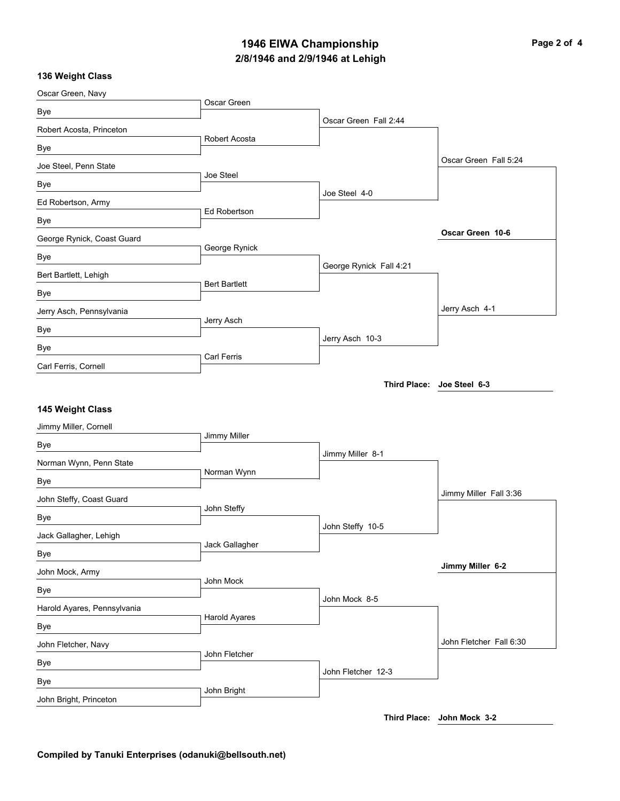# **2/8/1946 and 2/9/1946 at Lehigh 1946 EIWA Championship Page 2 of 4**

#### **136 Weight Class**

| Oscar Green, Navy           |                      |                         |                            |
|-----------------------------|----------------------|-------------------------|----------------------------|
| Bye                         | Oscar Green          |                         |                            |
| Robert Acosta, Princeton    |                      | Oscar Green Fall 2:44   |                            |
| Bye                         | Robert Acosta        |                         |                            |
| Joe Steel, Penn State       |                      |                         | Oscar Green Fall 5:24      |
| Bye                         | Joe Steel            |                         |                            |
| Ed Robertson, Army          |                      | Joe Steel 4-0           |                            |
| Bye                         | Ed Robertson         |                         |                            |
| George Rynick, Coast Guard  |                      |                         | Oscar Green 10-6           |
| Bye                         | George Rynick        |                         |                            |
| Bert Bartlett, Lehigh       |                      | George Rynick Fall 4:21 |                            |
| Bye                         | <b>Bert Bartlett</b> |                         |                            |
| Jerry Asch, Pennsylvania    |                      |                         | Jerry Asch 4-1             |
| Bye                         | Jerry Asch           |                         |                            |
| Bye                         |                      | Jerry Asch 10-3         |                            |
| Carl Ferris, Cornell        | Carl Ferris          |                         |                            |
|                             |                      |                         | Third Place: Joe Steel 6-3 |
|                             |                      |                         |                            |
| 145 Weight Class            |                      |                         |                            |
| Jimmy Miller, Cornell       | Jimmy Miller         |                         |                            |
| Bye                         |                      | Jimmy Miller 8-1        |                            |
| Norman Wynn, Penn State     |                      |                         |                            |
| Bye                         | Norman Wynn          |                         |                            |
| John Steffy, Coast Guard    |                      |                         | Jimmy Miller Fall 3:36     |
| Bye                         | John Steffy          |                         |                            |
| Jack Gallagher, Lehigh      |                      |                         |                            |
|                             |                      | John Steffy 10-5        |                            |
| Bye                         | Jack Gallagher       |                         |                            |
| John Mock, Army             |                      |                         | Jimmy Miller 6-2           |
| Bye                         | John Mock            |                         |                            |
| Harold Ayares, Pennsylvania |                      | John Mock 8-5           |                            |
| Bye                         | Harold Ayares        |                         |                            |
| John Fletcher, Navy         |                      |                         | John Fletcher Fall 6:30    |
| Bye                         | John Fletcher        |                         |                            |
| Bye                         |                      | John Fletcher 12-3      |                            |
| John Bright, Princeton      | John Bright          |                         |                            |

**Third Place: John Mock 3-2**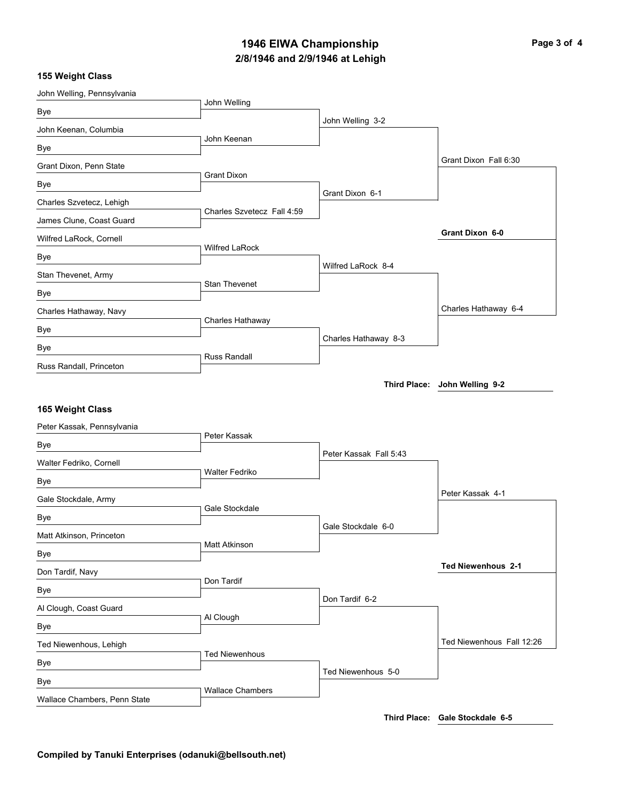### **2/8/1946 and 2/9/1946 at Lehigh 1946 EIWA Championship Page 3 of 4**

#### **155 Weight Class**

| John Welling, Pennsylvania    |                            |                        |                           |
|-------------------------------|----------------------------|------------------------|---------------------------|
| Bye                           | John Welling               |                        |                           |
| John Keenan, Columbia         |                            | John Welling 3-2       |                           |
| Bye                           | John Keenan                |                        |                           |
| Grant Dixon, Penn State       |                            |                        | Grant Dixon Fall 6:30     |
| Bye                           | <b>Grant Dixon</b>         |                        |                           |
| Charles Szvetecz, Lehigh      |                            | Grant Dixon 6-1        |                           |
| James Clune, Coast Guard      | Charles Szvetecz Fall 4:59 |                        |                           |
| Wilfred LaRock, Cornell       |                            |                        | Grant Dixon 6-0           |
| Bye                           | <b>Wilfred LaRock</b>      |                        |                           |
| Stan Thevenet, Army           |                            | Wilfred LaRock 8-4     |                           |
| Bye                           | Stan Thevenet              |                        |                           |
| Charles Hathaway, Navy        |                            |                        | Charles Hathaway 6-4      |
| Bye                           | Charles Hathaway           |                        |                           |
| Bye                           |                            | Charles Hathaway 8-3   |                           |
| Russ Randall, Princeton       | <b>Russ Randall</b>        |                        |                           |
|                               |                            |                        |                           |
| 165 Weight Class              |                            |                        |                           |
| Peter Kassak, Pennsylvania    | Peter Kassak               |                        |                           |
| Bye                           |                            | Peter Kassak Fall 5:43 |                           |
| Walter Fedriko, Cornell       | <b>Walter Fedriko</b>      |                        |                           |
| Bye                           |                            |                        | Peter Kassak 4-1          |
| Gale Stockdale, Army          | Gale Stockdale             |                        |                           |
| Bye                           |                            | Gale Stockdale 6-0     |                           |
| Matt Atkinson, Princeton      | Matt Atkinson              |                        |                           |
| Bye                           |                            |                        | <b>Ted Niewenhous 2-1</b> |
| Don Tardif, Navy              | Don Tardif                 |                        |                           |
| Bye                           |                            | Don Tardif 6-2         |                           |
| Al Clough, Coast Guard        | Al Clough                  |                        |                           |
| Bye<br>Ted Niewenhous, Lehigh |                            |                        | Ted Niewenhous Fall 12:26 |
|                               | <b>Ted Niewenhous</b>      |                        |                           |
| Bye<br>Bye                    | <b>Wallace Chambers</b>    | Ted Niewenhous 5-0     |                           |

**Third Place: Gale Stockdale 6-5**